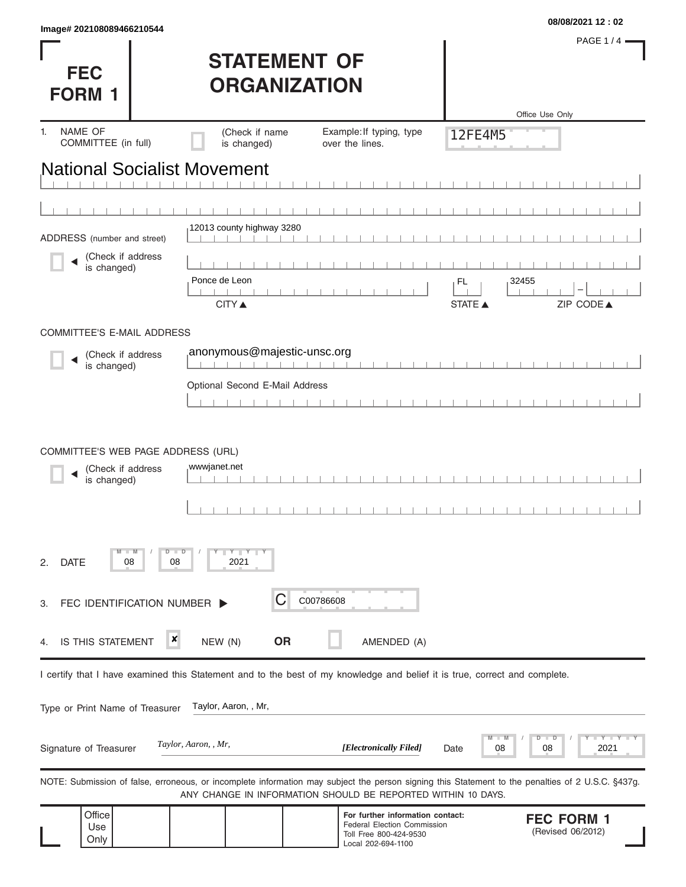| <b>FEC</b><br><b>FORM</b>            |         | <b>STATEMENT OF</b><br><b>ORGANIZATION</b> |                                                                                                                                                                                                                   |                | PAGE 1/4 -<br>Office Use Only          |
|--------------------------------------|---------|--------------------------------------------|-------------------------------------------------------------------------------------------------------------------------------------------------------------------------------------------------------------------|----------------|----------------------------------------|
| NAME OF<br>1.<br>COMMITTEE (in full) |         | (Check if name<br>is changed)              | Example: If typing, type<br>over the lines.                                                                                                                                                                       | 12FE4M5        |                                        |
| <b>National Socialist Movement</b>   |         |                                            |                                                                                                                                                                                                                   |                |                                        |
|                                      |         |                                            |                                                                                                                                                                                                                   |                |                                        |
| ADDRESS (number and street)          |         | 12013 county highway 3280                  |                                                                                                                                                                                                                   |                |                                        |
| (Check if address                    |         |                                            |                                                                                                                                                                                                                   |                |                                        |
| is changed)                          |         | Ponce de Leon                              |                                                                                                                                                                                                                   | 32455<br>FL    |                                        |
|                                      |         | <b>CITY ▲</b>                              |                                                                                                                                                                                                                   | <b>STATE ▲</b> | ZIP CODE▲                              |
| COMMITTEE'S E-MAIL ADDRESS           |         |                                            |                                                                                                                                                                                                                   |                |                                        |
| (Check if address<br>is changed)     |         | anonymous@majestic-unsc.org                |                                                                                                                                                                                                                   |                |                                        |
|                                      |         | Optional Second E-Mail Address             |                                                                                                                                                                                                                   |                |                                        |
|                                      |         |                                            |                                                                                                                                                                                                                   |                |                                        |
| (Check if address<br>is changed)     |         | wwwjanet.net                               |                                                                                                                                                                                                                   |                |                                        |
| <b>DATE</b><br>08<br>2.              | D<br>08 | $Y$ $Y$ $Y$<br>2021                        |                                                                                                                                                                                                                   |                |                                        |
| FEC IDENTIFICATION NUMBER<br>З.      |         | C                                          | C00786608                                                                                                                                                                                                         |                |                                        |
| IS THIS STATEMENT<br>4.              | ×       | <b>OR</b><br>NEW (N)                       | AMENDED (A)                                                                                                                                                                                                       |                |                                        |
|                                      |         |                                            | I certify that I have examined this Statement and to the best of my knowledge and belief it is true, correct and complete.                                                                                        |                |                                        |
| Type or Print Name of Treasurer      |         | Taylor, Aaron, , Mr,                       |                                                                                                                                                                                                                   |                |                                        |
|                                      |         |                                            |                                                                                                                                                                                                                   |                |                                        |
| Signature of Treasurer               |         | Taylor, Aaron, , Mr,                       | [Electronically Filed]                                                                                                                                                                                            | 08<br>Date     | Y TY<br>2021<br>08                     |
|                                      |         |                                            | NOTE: Submission of false, erroneous, or incomplete information may subject the person signing this Statement to the penalties of 2 U.S.C. §437g.<br>ANY CHANGE IN INFORMATION SHOULD BE REPORTED WITHIN 10 DAYS. |                |                                        |
| Office<br>Use<br>Only                |         |                                            | For further information contact:<br><b>Federal Election Commission</b><br>Toll Free 800-424-9530<br>Local 202-694-1100                                                                                            |                | <b>FEC FORM 1</b><br>(Revised 06/2012) |

**08/08/2021 12 : 02 Image# 202108089466210544**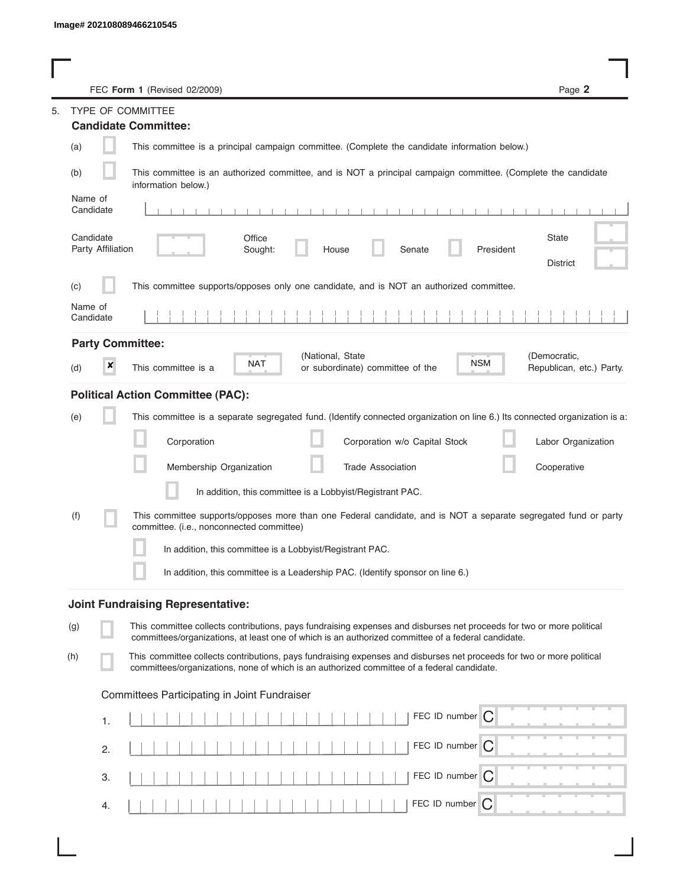|                                | FEC Form 1 (Revised 02/2009)                                                                                                                                                                                                | Page 2                                   |
|--------------------------------|-----------------------------------------------------------------------------------------------------------------------------------------------------------------------------------------------------------------------------|------------------------------------------|
|                                | TYPE OF COMMITTEE                                                                                                                                                                                                           |                                          |
|                                | <b>Candidate Committee:</b>                                                                                                                                                                                                 |                                          |
| (a)                            | This committee is a principal campaign committee. (Complete the candidate information below.)                                                                                                                               |                                          |
| (b)                            | This committee is an authorized committee, and is NOT a principal campaign committee. (Complete the candidate<br>information below.)                                                                                        |                                          |
| Name of<br>Candidate           |                                                                                                                                                                                                                             |                                          |
| Candidate<br>Party Affiliation | Office<br>Senate<br>President<br>Sought:<br>House                                                                                                                                                                           | State<br><b>District</b>                 |
| (c)                            | This committee supports/opposes only one candidate, and is NOT an authorized committee.                                                                                                                                     |                                          |
| Name of<br>Candidate           |                                                                                                                                                                                                                             |                                          |
| <b>Party Committee:</b>        |                                                                                                                                                                                                                             |                                          |
| ×<br>(d)                       | (National, State<br><b>NSM</b><br><b>NAT</b><br>This committee is a<br>or subordinate) committee of the                                                                                                                     | (Democratic,<br>Republican, etc.) Party. |
|                                | <b>Political Action Committee (PAC):</b>                                                                                                                                                                                    |                                          |
| (e)                            | This committee is a separate segregated fund. (Identify connected organization on line 6.) Its connected organization is a:                                                                                                 |                                          |
|                                | Corporation<br>Corporation w/o Capital Stock                                                                                                                                                                                | Labor Organization                       |
|                                | Membership Organization<br><b>Trade Association</b>                                                                                                                                                                         | Cooperative                              |
|                                | In addition, this committee is a Lobbyist/Registrant PAC.                                                                                                                                                                   |                                          |
| (f)                            | This committee supports/opposes more than one Federal candidate, and is NOT a separate segregated fund or party<br>committee. (i.e., nonconnected committee)                                                                |                                          |
|                                | In addition, this committee is a Lobbyist/Registrant PAC.                                                                                                                                                                   |                                          |
|                                | In addition, this committee is a Leadership PAC. (Identify sponsor on line 6.)                                                                                                                                              |                                          |
|                                | <b>Joint Fundraising Representative:</b>                                                                                                                                                                                    |                                          |
| (g)                            | This committee collects contributions, pays fundraising expenses and disburses net proceeds for two or more political<br>committees/organizations, at least one of which is an authorized committee of a federal candidate. |                                          |
| (h)                            | This committee collects contributions, pays fundraising expenses and disburses net proceeds for two or more political<br>committees/organizations, none of which is an authorized committee of a federal candidate.         |                                          |
|                                | Committees Participating in Joint Fundraiser                                                                                                                                                                                |                                          |
| 1.                             | FEC ID number $\bigcap$                                                                                                                                                                                                     |                                          |
| 2.                             | FEC ID number C                                                                                                                                                                                                             |                                          |
| 3.                             | FEC ID number $\bigcap$                                                                                                                                                                                                     |                                          |
| 4.                             | FEC ID number $\bigcap$                                                                                                                                                                                                     |                                          |

I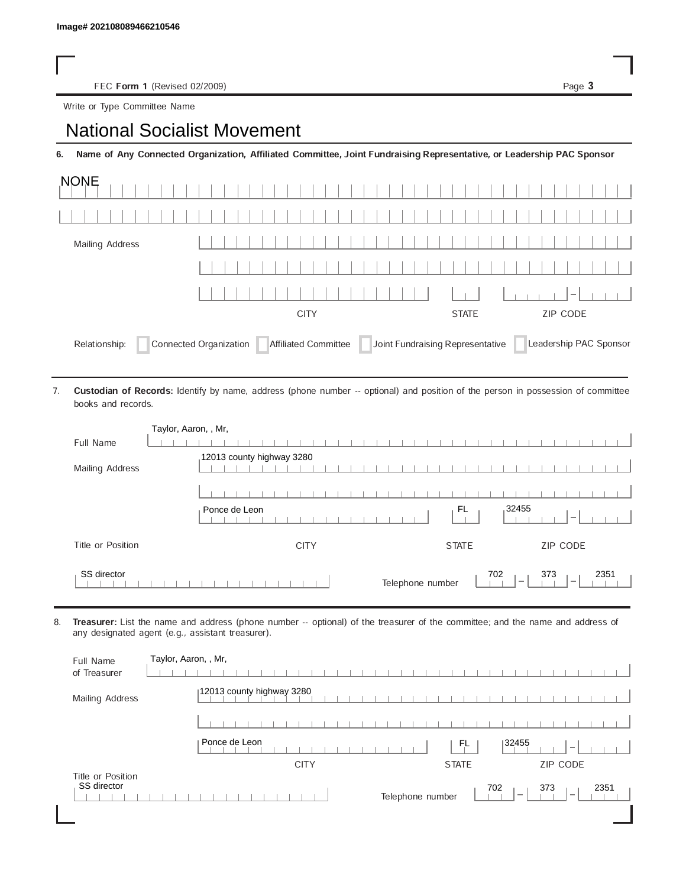FEC Form 1 (Revised 02/2009) Page 3

Write or Type Committee Name

## Image# 202108089466210546<br>
FEC Form 1 (Revised 02/2009)<br>
Write or Type Committee Name<br> **National Socialist Movement**

6. Name of Any Connected Organization, Affiliated Committee, Joint Fundraising Representative, or Leadership PAC Sponsor

| <b>NONE</b>     |                                                                              |                          |                        |  |  |  |  |  |  |
|-----------------|------------------------------------------------------------------------------|--------------------------|------------------------|--|--|--|--|--|--|
|                 |                                                                              |                          |                        |  |  |  |  |  |  |
| Mailing Address |                                                                              |                          |                        |  |  |  |  |  |  |
|                 |                                                                              |                          |                        |  |  |  |  |  |  |
|                 |                                                                              |                          | $1-1$                  |  |  |  |  |  |  |
|                 | <b>CITY</b>                                                                  | ZIP CODE<br><b>STATE</b> |                        |  |  |  |  |  |  |
| Relationship:   | Connected Organization Affiliated Committee Joint Fundraising Representative |                          | Leadership PAC Sponsor |  |  |  |  |  |  |

Custodian of Records: Identify by name, address (phone number -- optional) and position of the person in possession of committee books and records. 7.

| Taylor, Aaron, , Mr, |                                                                                                                                                 |
|----------------------|-------------------------------------------------------------------------------------------------------------------------------------------------|
| Full Name            |                                                                                                                                                 |
| Mailing Address      | 12013 county highway 3280                                                                                                                       |
|                      |                                                                                                                                                 |
|                      | 32455<br>FL<br>Ponce de Leon                                                                                                                    |
| Title or Position    | ZIP CODE<br><b>CITY</b><br><b>STATE</b>                                                                                                         |
| SS director          | 702<br>373<br>2351<br>Telephone number<br>$\hspace{1.0cm} \rule{1.5cm}{0.15cm} \hspace{1.0cm} \rule{1.5cm}{0.15cm}$<br>$\overline{\phantom{a}}$ |

8. Treasurer: List the name and address (phone number -- optional) of the treasurer of the committee; and the name and address of any designated agent (e.g., assistant treasurer).

| Full Name<br>of Treasurer        | Taylor, Aaron, , Mr,                                                                           |
|----------------------------------|------------------------------------------------------------------------------------------------|
| Mailing Address                  | 12013 county highway 3280                                                                      |
|                                  |                                                                                                |
|                                  | Ponce de Leon<br>32455<br>FL<br>$\overline{\phantom{a}}$                                       |
|                                  | <b>ZIP CODE</b><br><b>CITY</b><br><b>STATE</b>                                                 |
| Title or Position<br>SS director | 702<br>373<br>2351<br>Telephone number<br>$\overline{\phantom{a}}$<br>$\overline{\phantom{a}}$ |